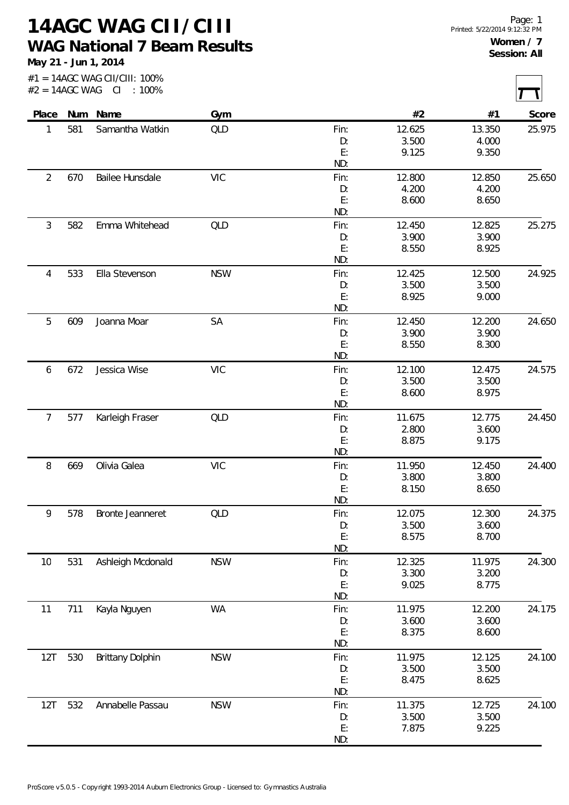**14AGC WAG CII/CIII WAG National 7 Beam Results**

**May 21 - Jun 1, 2014**

|                |     | #1 = 14AGC WAG CII/CIII: 100%<br>$#2 = 14AGC WAG CI : 100\%$ |            |           |        |        |        |
|----------------|-----|--------------------------------------------------------------|------------|-----------|--------|--------|--------|
| Place          |     | Num Name                                                     | Gym        |           | #2     | #1     | Score  |
| 1              | 581 | Samantha Watkin                                              | QLD        | Fin:      | 12.625 | 13.350 | 25.975 |
|                |     |                                                              |            | D:        | 3.500  | 4.000  |        |
|                |     |                                                              |            | E:        | 9.125  | 9.350  |        |
|                |     |                                                              |            | ND:       |        |        |        |
| $\overline{2}$ | 670 | Bailee Hunsdale                                              | <b>VIC</b> | Fin:      | 12.800 | 12.850 | 25.650 |
|                |     |                                                              |            | D:        | 4.200  | 4.200  |        |
|                |     |                                                              |            | E:        | 8.600  | 8.650  |        |
|                |     |                                                              |            | ND:       |        |        |        |
| $\mathfrak{Z}$ | 582 | Emma Whitehead                                               | QLD        | Fin:      | 12.450 | 12.825 | 25.275 |
|                |     |                                                              |            | D:        | 3.900  | 3.900  |        |
|                |     |                                                              |            | E:        | 8.550  | 8.925  |        |
|                |     |                                                              |            | ND:       |        |        |        |
| 4              | 533 | Ella Stevenson                                               | <b>NSW</b> | Fin:      | 12.425 | 12.500 | 24.925 |
|                |     |                                                              |            | D:        | 3.500  | 3.500  |        |
|                |     |                                                              |            | E:        | 8.925  | 9.000  |        |
|                |     |                                                              |            | ND:       |        |        |        |
| 5              | 609 | Joanna Moar                                                  | SA         | Fin:      | 12.450 | 12.200 | 24.650 |
|                |     |                                                              |            | D:        | 3.900  | 3.900  |        |
|                |     |                                                              |            | E:        | 8.550  | 8.300  |        |
|                |     |                                                              |            | ND:       |        |        |        |
| 6              | 672 | Jessica Wise                                                 | <b>VIC</b> | Fin:      | 12.100 | 12.475 | 24.575 |
|                |     |                                                              |            | D:        | 3.500  | 3.500  |        |
|                |     |                                                              |            | E:        | 8.600  | 8.975  |        |
|                |     |                                                              |            | ND:       |        |        |        |
| 7              | 577 | Karleigh Fraser                                              | QLD        | Fin:      | 11.675 | 12.775 | 24.450 |
|                |     |                                                              |            | D:        | 2.800  | 3.600  |        |
|                |     |                                                              |            | E:<br>ND: | 8.875  | 9.175  |        |
| 8              | 669 | Olivia Galea                                                 | <b>VIC</b> | Fin:      | 11.950 | 12.450 | 24.400 |
|                |     |                                                              |            | D:        | 3.800  | 3.800  |        |
|                |     |                                                              |            | E:        | 8.150  | 8.650  |        |
|                |     |                                                              |            | ND:       |        |        |        |
| 9              | 578 | Bronte Jeanneret                                             | QLD        | Fin:      | 12.075 | 12.300 | 24.375 |
|                |     |                                                              |            | D:        | 3.500  | 3.600  |        |
|                |     |                                                              |            | E:        | 8.575  | 8.700  |        |
|                |     |                                                              |            | ND:       |        |        |        |
| 10             | 531 | Ashleigh Mcdonald                                            | <b>NSW</b> | Fin:      | 12.325 | 11.975 | 24.300 |
|                |     |                                                              |            | D:        | 3.300  | 3.200  |        |
|                |     |                                                              |            | E:        | 9.025  | 8.775  |        |
|                |     |                                                              |            | ND:       |        |        |        |
| 11             | 711 | Kayla Nguyen                                                 | <b>WA</b>  | Fin:      | 11.975 | 12.200 | 24.175 |
|                |     |                                                              |            | D:        | 3.600  | 3.600  |        |
|                |     |                                                              |            | E:        | 8.375  | 8.600  |        |
|                |     |                                                              |            | ND:       |        |        |        |
| 12T            | 530 | <b>Brittany Dolphin</b>                                      | <b>NSW</b> | Fin:      | 11.975 | 12.125 | 24.100 |
|                |     |                                                              |            | D:        | 3.500  | 3.500  |        |
|                |     |                                                              |            | E:        | 8.475  | 8.625  |        |
|                |     |                                                              |            | ND:       |        |        |        |
| 12T            | 532 | Annabelle Passau                                             | <b>NSW</b> | Fin:      | 11.375 | 12.725 | 24.100 |
|                |     |                                                              |            | D:        | 3.500  | 3.500  |        |
|                |     |                                                              |            | E:        | 7.875  | 9.225  |        |

ND: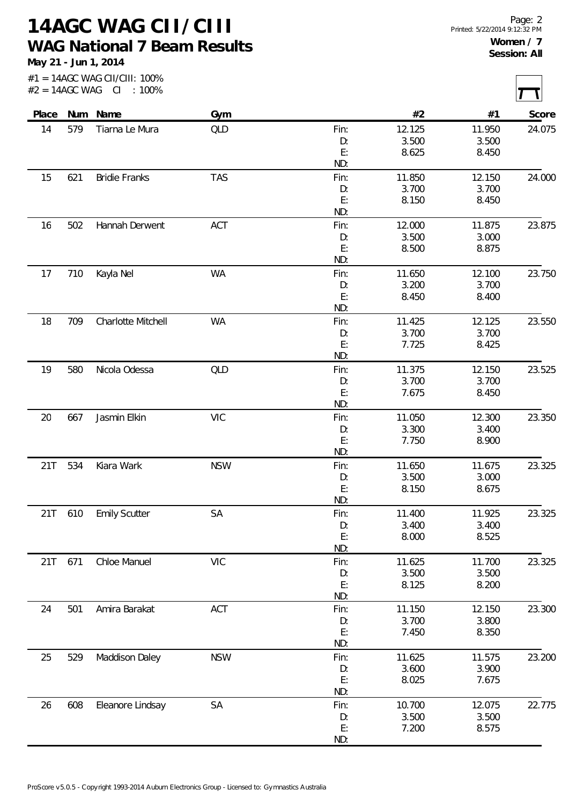**14AGC WAG CII/CIII WAG National 7 Beam Results**

**May 21 - Jun 1, 2014**

|       |         | #2 = 14AGC WAG CI : 100% |            |                |                |                |        |
|-------|---------|--------------------------|------------|----------------|----------------|----------------|--------|
| Place |         | Num Name                 | Gym        |                | #2             | #1             | Score  |
| 14    | 579     | Tiarna Le Mura           | QLD        | Fin:           | 12.125         | 11.950         | 24.075 |
|       |         |                          |            | D:             | 3.500          | 3.500          |        |
|       |         |                          |            | E:             | 8.625          | 8.450          |        |
|       |         |                          |            | ND:            |                |                |        |
| 15    | 621     | <b>Bridie Franks</b>     | <b>TAS</b> | Fin:           | 11.850         | 12.150         | 24.000 |
|       |         |                          |            | D:<br>E:       | 3.700<br>8.150 | 3.700<br>8.450 |        |
|       |         |                          |            | ND:            |                |                |        |
| 16    | 502     | Hannah Derwent           | ACT        | Fin:           | 12.000         | 11.875         | 23.875 |
|       |         |                          |            | D:             | 3.500          | 3.000          |        |
|       |         |                          |            | E:             | 8.500          | 8.875          |        |
|       |         |                          |            | ND:            |                |                |        |
| 17    | 710     | Kayla Nel                | WA         | Fin:           | 11.650         | 12.100         | 23.750 |
|       |         |                          |            | D:             | 3.200          | 3.700          |        |
|       |         |                          |            | E:<br>ND:      | 8.450          | 8.400          |        |
| 18    | 709     | Charlotte Mitchell       | <b>WA</b>  | Fin:           | 11.425         | 12.125         | 23.550 |
|       |         |                          |            | D:             | 3.700          | 3.700          |        |
|       |         |                          |            | E:             | 7.725          | 8.425          |        |
|       |         |                          |            | ND:            |                |                |        |
| 19    | 580     | Nicola Odessa            | QLD        | Fin:           | 11.375         | 12.150         | 23.525 |
|       |         |                          |            | D:             | 3.700          | 3.700          |        |
|       |         |                          |            | E:             | 7.675          | 8.450          |        |
|       |         |                          |            | ND:            |                |                |        |
| 20    | 667     | Jasmin Elkin             | <b>VIC</b> | Fin:           | 11.050         | 12.300         | 23.350 |
|       |         |                          |            | D:             | 3.300          | 3.400          |        |
|       |         |                          |            | E:<br>ND:      | 7.750          | 8.900          |        |
| 21T   | 534     | Kiara Wark               | <b>NSW</b> | Fin:           | 11.650         | 11.675         | 23.325 |
|       |         |                          |            | D:             | 3.500          | 3.000          |        |
|       |         |                          |            | E:             | 8.150          | 8.675          |        |
|       |         |                          |            | ND:            |                |                |        |
|       | 21T 610 | <b>Emily Scutter</b>     | SA         | Fin:           | 11.400         | 11.925         | 23.325 |
|       |         |                          |            | D:             | 3.400          | 3.400          |        |
|       |         |                          |            | E:             | 8.000          | 8.525          |        |
|       |         |                          |            | ND:            |                |                |        |
| 21T   | 671     | Chloe Manuel             | <b>VIC</b> | Fin:           | 11.625         | 11.700         | 23.325 |
|       |         |                          |            | D:             | 3.500          | 3.500          |        |
|       |         |                          |            | E:<br>ND:      | 8.125          | 8.200          |        |
| 24    | 501     | Amira Barakat            | ACT        | Fin:           | 11.150         | 12.150         | 23.300 |
|       |         |                          |            | D:             | 3.700          | 3.800          |        |
|       |         |                          |            | $\mathsf{E}$ : | 7.450          | 8.350          |        |
|       |         |                          |            | ND:            |                |                |        |
| 25    | 529     | Maddison Daley           | <b>NSW</b> | Fin:           | 11.625         | 11.575         | 23.200 |
|       |         |                          |            | D:             | 3.600          | 3.900          |        |
|       |         |                          |            | E:             | 8.025          | 7.675          |        |
|       |         |                          |            | ND:            |                |                |        |
| 26    | 608     | Eleanore Lindsay         | SA         | Fin:           | 10.700         | 12.075         | 22.775 |
|       |         |                          |            | D:<br>E:       | 3.500<br>7.200 | 3.500<br>8.575 |        |
|       |         |                          |            |                |                |                |        |

ND: